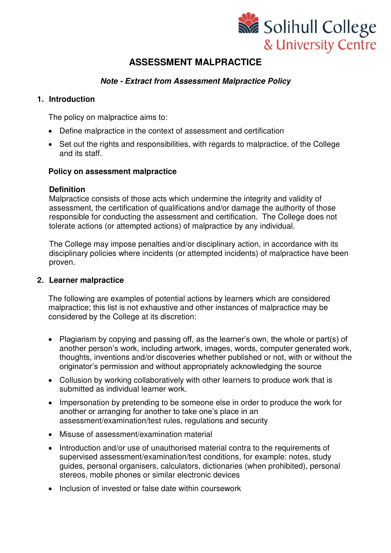

# **ASSESSMENT MALPRACTICE**

## *Note - Extract from Assessment Malpractice Policy*

## **1. Introduction**

The policy on malpractice aims to:

- Define malpractice in the context of assessment and certification
- Set out the rights and responsibilities, with regards to malpractice, of the College and its staff.

#### **Policy on assessment malpractice**

#### **Definition**

Malpractice consists of those acts which undermine the integrity and validity of assessment, the certification of qualifications and/or damage the authority of those responsible for conducting the assessment and certification. The College does not tolerate actions (or attempted actions) of malpractice by any individual.

The College may impose penalties and/or disciplinary action, in accordance with its disciplinary policies where incidents (or attempted incidents) of malpractice have been proven.

## **2. Learner malpractice**

The following are examples of potential actions by learners which are considered malpractice; this list is not exhaustive and other instances of malpractice may be considered by the College at its discretion:

- Plagiarism by copying and passing off, as the learner's own, the whole or part(s) of another person's work, including artwork, images, words, computer generated work, thoughts, inventions and/or discoveries whether published or not, with or without the originator's permission and without appropriately acknowledging the source
- Collusion by working collaboratively with other learners to produce work that is submitted as individual learner work.
- Impersonation by pretending to be someone else in order to produce the work for another or arranging for another to take one's place in an assessment/examination/test rules, regulations and security
- Misuse of assessment/examination material
- Introduction and/or use of unauthorised material contra to the requirements of supervised assessment/examination/test conditions, for example: notes, study guides, personal organisers, calculators, dictionaries (when prohibited), personal stereos, mobile phones or similar electronic devices
- Inclusion of invested or false date within coursework